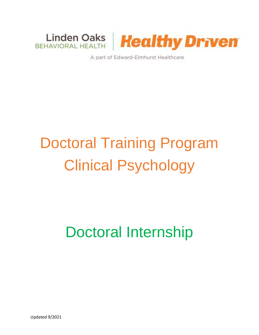

A part of Edward-Elmhurst Healthcare

# Doctoral Training Program Clinical Psychology

# Doctoral Internship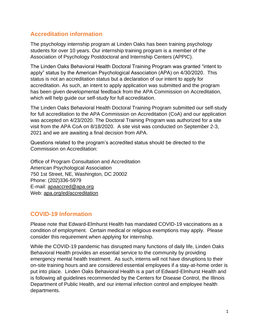# **Accreditation information**

The psychology internship program at Linden Oaks has been training psychology students for over 10 years. Our internship training program is a member of the Association of Psychology Postdoctoral and Internship Centers (APPIC).

The Linden Oaks Behavioral Health Doctoral Training Program was granted "intent to apply" status by the American Psychological Association (APA) on 4/30/2020. This status is not an accreditation status but a declaration of our intent to apply for accreditation. As such, an intent to apply application was submitted and the program has been given developmental feedback from the APA Commission on Accreditation, which will help guide our self-study for full accreditation.

The Linden Oaks Behavioral Health Doctoral Training Program submitted our self-study for full accreditation to the APA Commission on Accreditation (CoA) and our application was accepted on 4/23/2020. The Doctoral Training Program was authorized for a site visit from the APA CoA on 8/18/2020. A site visit was conducted on September 2-3, 2021 and we are awaiting a final decision from APA.

Questions related to the program's accredited status should be directed to the Commission on Accreditation:

Office of Program Consultation and Accreditation American Psychological Association 750 1st Street, NE, Washington, DC 20002 Phone: (202)336-5979 E-mail: [apaaccred@apa.org](mailto:apaaccred@apa.org) Web: [apa.org/ed/accreditation](https://accreditation.apa.org/)

# **COVID-19 Information**

Please note that Edward-Elmhurst Health has mandated COVID-19 vaccinations as a condition of employment. Certain medical or religious exemptions may apply. Please consider this requirement when applying for internship.

While the COVID-19 pandemic has disrupted many functions of daily life, Linden Oaks Behavioral Health provides an essential service to the community by providing emergency mental health treatment. As such, interns will not have disruptions to their on-site training hours and are considered essential employees if a stay-at-home order is put into place. Linden Oaks Behavioral Health is a part of Edward-Elmhurst Health and is following all guidelines recommended by the Centers for Disease Control, the Illinois Department of Public Health, and our internal infection control and employee health departments.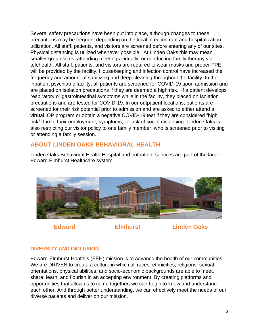Several safety precautions have been put into place, although changes to these precautions may be frequent depending on the local infection rate and hospitalization utilization. All staff, patients, and visitors are screened before entering any of our sites. Physical distancing is utilized whenever possible. At Linden Oaks this may mean smaller group sizes, attending meetings virtually, or conducting family therapy via telehealth. All staff, patients, and visitors are required to wear masks and proper PPE will be provided by the facility. Housekeeping and infection control have increased the frequency and amount of sanitizing and deep-cleaning throughout the facility. In the inpatient psychiatric facility, all patients are screened for COVID-19 upon admission and are placed on isolation precautions if they are deemed a high risk. If a patient develops respiratory or gastrointestinal symptoms while in the facility, they placed on isolation precautions and are tested for COVID-19. In our outpatient locations, patients are screened for their risk potential prior to admission and are asked to either attend a virtual IOP program or obtain a negative COVID-19 test if they are considered "high risk" due to their employment, symptoms, or lack of social distancing. Linden Oaks is also restricting our visitor policy to one family member, who is screened prior to visiting or attending a family session.

# **ABOUT LINDEN OAKS BEHAVIORAL HEALTH**

Linden Oaks Behavioral Health Hospital and outpatient services are part of the larger Edward Elmhurst Healthcare system.



 **Edward Elmhurst Linden Oaks**

# **DIVERSITY AND INCLUSION**

Edward-Elmhurst Health's (EEH) mission is to advance the health of our communities. We are DRIVEN to create a culture in which all races, ethnicities, religions, sexualorientations, physical abilities, and socio-economic backgrounds are able to meet, share, learn, and flourish in an accepting environment. By creating platforms and opportunities that allow us to come together, we can begin to know and understand each other. And through better understanding, we can effectively meet the needs of our diverse patients and deliver on our mission.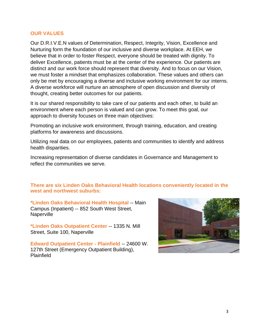#### **OUR VALUES**

Our D.R.I.V.E.N values of Determination, Respect, Integrity, Vision, Excellence and Nurturing form the foundation of our inclusive and diverse workplace. At EEH, we believe that in order to foster Respect, everyone should be treated with dignity. To deliver Excellence, patients must be at the center of the experience. Our patients are distinct and our work force should represent that diversity. And to focus on our Vision, we must foster a mindset that emphasizes collaboration. These values and others can only be met by encouraging a diverse and inclusive working environment for our interns. A diverse workforce will nurture an atmosphere of open discussion and diversity of thought, creating better outcomes for our patients.

It is our shared responsibility to take care of our patients and each other, to build an environment where each person is valued and can grow. To meet this goal, our approach to diversity focuses on three main objectives:

Promoting an inclusive work environment, through training, education, and creating platforms for awareness and discussions.

Utilizing real data on our employees, patients and communities to identify and address health disparities.

Increasing representation of diverse candidates in Governance and Management to reflect the communities we serve.

#### **There are six Linden Oaks Behavioral Health locations conveniently located in the west and northwest suburbs:**

**[\\*Linden Oaks Behavioral Health](https://www.eehealth.org/locations/naperville/linden-oaks-behavioral-health/) Hospital** -- Main Campus (Inpatient) -- 852 South West Street, Naperville

**[\\*Linden Oaks Outpatient Center](https://www.eehealth.org/locations/naperville/linden-oaks-medical-group-naperville/)** -- 1335 N. Mill Street, Suite 100, Naperville

**[Edward Outpatient Center -](https://www.eehealth.org/locations/plainfield/edward-outpatient-center-plainfield/) Plainfield** -- 24600 W. 127th Street (Emergency Outpatient Building), Plainfield

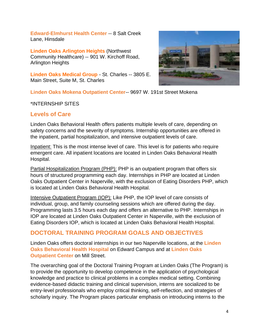**[Edward-Elmhurst Health Center](https://www.eehealth.org/locations/hinsdale/edward-elmhurst-health-center-and-immediate-care-hinsdale)** -- 8 Salt Creek Lane, Hinsdale

**[Linden Oaks Arlington Heights](https://www.eehealth.org/locations/arlington-heights/linden-oaks-arlington-heights/)** (Northwest Community Healthcare) -- 901 W. Kirchoff Road, Arlington Heights

**[Linden Oaks Medical Group](https://www.eehealth.org/locations/saint-charles/linden-oaks-medical-group-st-charles/)** - St. Charles -- 3805 E. Main Street, Suite M, St. Charles



**Linden Oaks Mokena Outpatient Center**-- 9697 W. 191st Street Mokena

#### \*INTERNSHIP SITES

### **Levels of Care**

Linden Oaks Behavioral Health offers patients multiple levels of care, depending on safety concerns and the severity of symptoms. Internship opportunities are offered in the inpatient, partial hospitalization, and intensive outpatient levels of care.

Inpatient: This is the most intense level of care. This level is for patients who require emergent care. All inpatient locations are located in Linden Oaks Behavioral Health Hospital.

Partial Hospitalization Program (PHP): PHP is an outpatient program that offers six hours of structured programming each day. Internships in PHP are located at Linden Oaks Outpatient Center in Naperville, with the exclusion of Eating Disorders PHP, which is located at Linden Oaks Behavioral Health Hospital.

Intensive Outpatient Program (IOP): Like PHP, the IOP level of care consists of individual, group, and family counseling sessions which are offered during the day. Programming lasts 3.5 hours each day and offers an alternative to PHP. Internships in IOP are located at Linden Oaks Outpatient Center in Naperville, with the exclusion of Eating Disorders IOP, which is located at Linden Oaks Behavioral Health Hospital.

### **DOCTORAL TRAINING PROGRAM GOALS AND OBJECTIVES**

Linden Oaks offers doctoral internships in our two Naperville locations, at the **[Linden](https://www.eehealth.org/locations/naperville/linden-oaks-behavioral-health/)  [Oaks Behavioral Health](https://www.eehealth.org/locations/naperville/linden-oaks-behavioral-health/) Hospital** on Edward Campus and at **[Linden Oaks](https://www.eehealth.org/locations/naperville/linden-oaks-medical-group-naperville/)  [Outpatient Center](https://www.eehealth.org/locations/naperville/linden-oaks-medical-group-naperville/)** on Mill Street.

The overarching goal of the Doctoral Training Program at Linden Oaks (The Program) is to provide the opportunity to develop competence in the application of psychological knowledge and practice to clinical problems in a complex medical setting. Combining evidence-based didactic training and clinical supervision, interns are socialized to be entry-level professionals who employ critical thinking, self-reflection, and strategies of scholarly inquiry. The Program places particular emphasis on introducing interns to the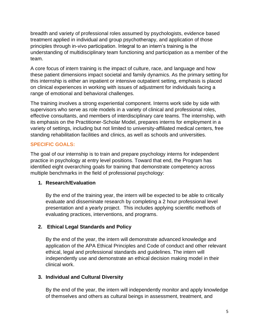breadth and variety of professional roles assumed by psychologists, evidence based treatment applied in individual and group psychotherapy, and application of those principles through in-vivo participation. Integral to an intern's training is the understanding of multidisciplinary team functioning and participation as a member of the team.

A core focus of intern training is the impact of culture, race, and language and how these patient dimensions impact societal and family dynamics. As the primary setting for this internship is either an inpatient or intensive outpatient setting, emphasis is placed on clinical experiences in working with issues of adjustment for individuals facing a range of emotional and behavioral challenges.

The training involves a strong experiential component. Interns work side by side with supervisors who serve as role models in a variety of clinical and professional roles, effective consultants, and members of interdisciplinary care teams. The internship, with its emphasis on the Practitioner-Scholar Model, prepares interns for employment in a variety of settings, including but not limited to university-affiliated medical centers, free standing rehabilitation facilities and clinics, as well as schools and universities.

#### **SPECIFIC GOALS:**

The goal of our internship is to train and prepare psychology interns for independent practice in psychology at entry level positions. Toward that end, the Program has identified eight overarching goals for training that demonstrate competency across multiple benchmarks in the field of professional psychology:

#### **1. Research/Evaluation**

By the end of the training year, the intern will be expected to be able to critically evaluate and disseminate research by completing a 2 hour professional level presentation and a yearly project. This includes applying scientific methods of evaluating practices, interventions, and programs.

### **2. Ethical Legal Standards and Policy**

By the end of the year, the intern will demonstrate advanced knowledge and application of the APA Ethical Principles and Code of conduct and other relevant ethical, legal and professional standards and guidelines. The intern will independently use and demonstrate an ethical decision making model in their clinical work.

### **3. Individual and Cultural Diversity**

By the end of the year, the intern will independently monitor and apply knowledge of themselves and others as cultural beings in assessment, treatment, and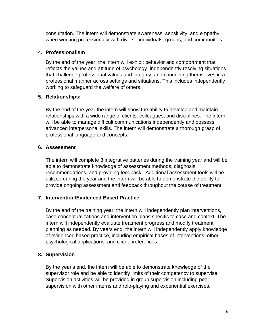consultation. The intern will demonstrate awareness, sensitivity, and empathy when working professionally with diverse individuals, groups, and communities.

#### **4. Professionalism**

By the end of the year, the intern will exhibit behavior and comportment that reflects the values and attitude of psychology, independently resolving situations that challenge professional values and integrity, and conducting themselves in a professional manner across settings and situations. This includes independently working to safeguard the welfare of others.

#### **5. Relationships:**

By the end of the year the intern will show the ability to develop and maintain relationships with a wide range of clients, colleagues, and disciplines. The intern will be able to manage difficult communications independently and possess advanced interpersonal skills. The intern will demonstrate a thorough grasp of professional language and concepts.

#### **6. Assessment**

The intern will complete 3 integrative batteries during the training year and will be able to demonstrate knowledge of assessment methods, diagnosis, recommendations, and providing feedback. Additional assessment tools will be utilized during the year and the intern will be able to demonstrate the ability to provide ongoing assessment and feedback throughout the course of treatment.

### **7. Intervention/Evidenced Based Practice**

By the end of the training year, the intern will independently plan interventions, case conceptualizations and intervention plans specific to case and context. The intern will independently evaluate treatment progress and modify treatment planning as needed. By years end, the intern will independently apply knowledge of evidenced based practice, including empirical bases of interventions, other psychological applications, and client preferences.

### **8. Supervision**

By the year's end, the intern will be able to demonstrate knowledge of the supervisor role and be able to identify limits of their competency to supervise. Supervision activities will be provided in group supervision including peer supervision with other interns and role-playing and experiential exercises.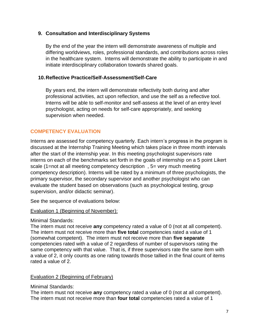#### **9. Consultation and Interdisciplinary Systems**

By the end of the year the intern will demonstrate awareness of multiple and differing worldviews, roles, professional standards, and contributions across roles in the healthcare system. Interns will demonstrate the ability to participate in and initiate interdisciplinary collaboration towards shared goals.

#### **10.Reflective Practice/Self-Assessment/Self-Care**

By years end, the intern will demonstrate reflectivity both during and after professional activities, act upon reflection, and use the self as a reflective tool. Interns will be able to self-monitor and self-assess at the level of an entry level psychologist, acting on needs for self-care appropriately, and seeking supervision when needed.

#### **COMPETENCY EVALUATION**

Interns are assessed for competency quarterly. Each intern's progress in the program is discussed at the Internship Training Meeting which takes place in three month intervals after the start of the internship year. In this meeting psychologist supervisors rate interns on each of the benchmarks set forth in the goals of internship on a 5 point Likert scale (1=not at all meeting competency description , 5= very much meeting competency description). Interns will be rated by a minimum of three psychologists, the primary supervisor, the secondary supervisor and another psychologist who can evaluate the student based on observations (such as psychological testing, group supervision, and/or didactic seminar).

See the sequence of evaluations below:

#### Evaluation 1 (Beginning of November):

#### Minimal Standards:

The intern must not receive **any** competency rated a value of 0 (not at all competent). The intern must not receive more than **five total** competencies rated a value of 1 (somewhat competent). The intern must not receive more than **five separate** competencies rated with a value of 2 regardless of number of supervisors rating the same competency with that value. That is, if three supervisors rate the same item with a value of 2, it only counts as one rating towards those tallied in the final count of items rated a value of 2.

#### Evaluation 2 (Beginning of February)

Minimal Standards:

The intern must not receive **any** competency rated a value of 0 (not at all competent). The intern must not receive more than **four total** competencies rated a value of 1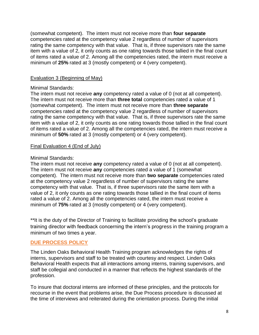(somewhat competent). The intern must not receive more than **four separate** competencies rated at the competency value 2 regardless of number of supervisors rating the same competency with that value. That is, if three supervisors rate the same item with a value of 2, it only counts as one rating towards those tallied in the final count of items rated a value of 2. Among all the competencies rated, the intern must receive a minimum of **25%** rated at 3 (mostly competent) or 4 (very competent).

#### Evaluation 3 (Beginning of May)

#### Minimal Standards:

The intern must not receive **any** competency rated a value of 0 (not at all competent). The intern must not receive more than **three total** competencies rated a value of 1 (somewhat competent). The intern must not receive more than **three separate** competencies rated at the competency value 2 regardless of number of supervisors rating the same competency with that value. That is, if three supervisors rate the same item with a value of 2, it only counts as one rating towards those tallied in the final count of items rated a value of 2. Among all the competencies rated, the intern must receive a minimum of **50%** rated at 3 (mostly competent) or 4 (very competent).

#### Final Evaluation 4 (End of July)

#### Minimal Standards:

The intern must not receive **any** competency rated a value of 0 (not at all competent). The intern must not receive **any** competencies rated a value of 1 (somewhat competent). The intern must not receive more than **two separate** competencies rated at the competency value 2 regardless of number of supervisors rating the same competency with that value. That is, if three supervisors rate the same item with a value of 2, it only counts as one rating towards those tallied in the final count of items rated a value of 2. Among all the competencies rated, the intern must receive a minimum of **75%** rated at 3 (mostly competent) or 4 (very competent).

\*\*It is the duty of the Director of Training to facilitate providing the school's graduate training director with feedback concerning the intern's progress in the training program a minimum of two times a year.

#### **DUE PROCESS POLICY**

The Linden Oaks Behavioral Health Training program acknowledges the rights of interns, supervisors and staff to be treated with courtesy and respect. Linden Oaks Behavioral Health expects that all interactions among interns, training supervisors, and staff be collegial and conducted in a manner that reflects the highest standards of the profession.

To insure that doctoral interns are informed of these principles, and the protocols for recourse in the event that problems arise, the Due Process procedure is discussed at the time of interviews and reiterated during the orientation process. During the initial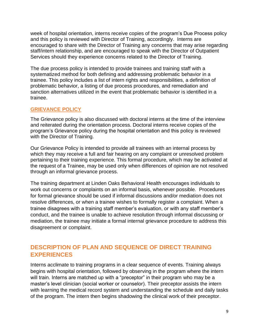week of hospital orientation, interns receive copies of the program's Due Process policy and this policy is reviewed with Director of Training, accordingly. Interns are encouraged to share with the Director of Training any concerns that may arise regarding staff/intern relationship, and are encouraged to speak with the Director of Outpatient Services should they experience concerns related to the Director of Training.

The due process policy is intended to provide trainees and training staff with a systematized method for both defining and addressing problematic behavior in a trainee. This policy includes a list of intern rights and responsibilities, a definition of problematic behavior, a listing of due process procedures, and remediation and sanction alternatives utilized in the event that problematic behavior is identified in a trainee.

#### **GRIEVANCE POLICY**

The Grievance policy is also discussed with doctoral interns at the time of the interview and reiterated during the orientation process. Doctoral interns receive copies of the program's Grievance policy during the hospital orientation and this policy is reviewed with the Director of Training.

Our Grievance Policy is intended to provide all trainees with an internal process by which they may receive a full and fair hearing on any complaint or unresolved problem pertaining to their training experience. This formal procedure, which may be activated at the request of a Trainee, may be used only when differences of opinion are not resolved through an informal grievance process.

The training department at Linden Oaks Behavioral Health encourages individuals to work out concerns or complaints on an informal basis, whenever possible. Procedures for formal grievance should be used if informal discussions and/or mediation does not resolve differences, or when a trainee wishes to formally register a complaint. When a trainee disagrees with a training staff member's evaluation, or with any staff member's conduct, and the trainee is unable to achieve resolution through informal discussing or mediation, the trainee may initiate a formal internal grievance procedure to address this disagreement or complaint.

# **DESCRIPTION OF PLAN AND SEQUENCE OF DIRECT TRAINING EXPERIENCES**

Interns acclimate to training programs in a clear sequence of events. Training always begins with hospital orientation, followed by observing in the program where the intern will train. Interns are matched up with a "preceptor" in their program who may be a master's level clinician (social worker or counselor). Their preceptor assists the intern with learning the medical record system and understanding the schedule and daily tasks of the program. The intern then begins shadowing the clinical work of their preceptor.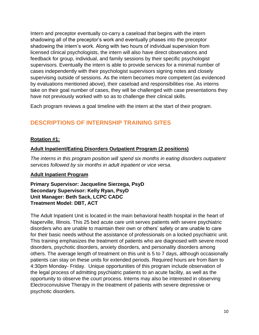Intern and preceptor eventually co-carry a caseload that begins with the intern shadowing all of the preceptor's work and eventually phases into the preceptor shadowing the intern's work. Along with two hours of individual supervision from licensed clinical psychologists, the intern will also have direct observations and feedback for group, individual, and family sessions by their specific psychologist supervisors. Eventually the intern is able to provide services for a minimal number of cases independently with their psychologist supervisors signing notes and closely supervising outside of sessions. As the intern becomes more competent (as evidenced by evaluations mentioned above), their caseload and responsibilities rise. As interns take on their goal number of cases, they will be challenged with case presentations they have not previously worked with so as to challenge their clinical skills.

Each program reviews a goal timeline with the intern at the start of their program.

# **DESCRIPTIONS OF INTERNSHIP TRAINING SITES**

#### **Rotation #1:**

#### **Adult Inpatient/Eating Disorders Outpatient Program (2 positions)**

*The interns in this program position will spend six months in eating disorders outpatient services followed by six months in adult inpatient or vice versa.*

#### **Adult Inpatient Program**

**Primary Supervisor: Jacqueline Sierzega, PsyD Secondary Supervisor: Kelly Ryan, PsyD Unit Manager: Beth Sack, LCPC CADC Treatment Model: DBT, ACT**

The Adult Inpatient Unit is located in the main behavioral health hospital in the heart of Naperville, Illinois. This 25 bed acute care unit serves patients with severe psychiatric disorders who are unable to maintain their own or others' safety or are unable to care for their basic needs without the assistance of professionals on a locked psychiatric unit. This training emphasizes the treatment of patients who are diagnosed with severe mood disorders, psychotic disorders, anxiety disorders, and personality disorders among others. The average length of treatment on this unit is 5 to 7 days, although occasionally patients can stay on these units for extended periods. Required hours are from 8am to 4:30pm Monday- Friday. Unique opportunities of this program include observation of the legal process of admitting psychiatric patients to an acute facility, as well as the opportunity to observe the court process. Interns may also be interested in observing Electroconvulsive Therapy in the treatment of patients with severe depressive or psychotic disorders.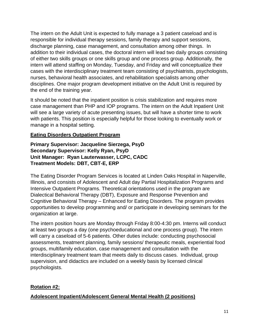The intern on the Adult Unit is expected to fully manage a 3 patient caseload and is responsible for individual therapy sessions, family therapy and support sessions, discharge planning, case management, and consultation among other things. In addition to their individual cases, the doctoral intern will lead two daily groups consisting of either two skills groups or one skills group and one process group. Additionally, the intern will attend staffing on Monday, Tuesday, and Friday and will conceptualize their cases with the interdisciplinary treatment team consisting of psychiatrists, psychologists, nurses, behavioral health associates, and rehabilitation specialists among other disciplines. One major program development initiative on the Adult Unit is required by the end of the training year.

It should be noted that the inpatient position is crisis stabilization and requires more case management than PHP and IOP programs. The intern on the Adult Inpatient Unit will see a large variety of acute presenting issues, but will have a shorter time to work with patients. This position is especially helpful for those looking to eventually work or manage in a hospital setting.

#### **Eating Disorders Outpatient Program**

**Primary Supervisor: Jacqueline Sierzega, PsyD Secondary Supervisor: Kelly Ryan, PsyD Unit Manager: Ryan Lauterwasser, LCPC, CADC Treatment Models: DBT, CBT-E, ERP**

The Eating Disorder Program Services is located at Linden Oaks Hospital in Naperville, Illinois, and consists of Adolescent and Adult day Partial Hospitalization Programs and Intensive Outpatient Programs. Theoretical orientations used in the program are Dialectical Behavioral Therapy (DBT), Exposure and Response Prevention and Cognitive Behavioral Therapy – Enhanced for Eating Disorders. The program provides opportunities to develop programming and/ or participate in developing seminars for the organization at large.

The intern position hours are Monday through Friday 8:00-4:30 pm. Interns will conduct at least two groups a day (one psychoeducational and one process group). The intern will carry a caseload of 5-6 patients. Other duties include: conducting psychosocial assessments, treatment planning, family sessions/ therapeutic meals, experiential food groups, multifamily education, case management and consultation with the interdisciplinary treatment team that meets daily to discuss cases. Individual, group supervision, and didactics are included on a weekly basis by licensed clinical psychologists.

### **Rotation #2:**

### **Adolescent Inpatient/Adolescent General Mental Health (2 positions)**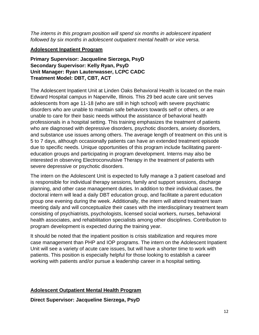*The interns in this program position will spend six months in adolescent inpatient followed by six months in adolescent outpatient mental health or vice versa.*

#### **Adolescent Inpatient Program**

**Primary Supervisor: Jacqueline Sierzega, PsyD Secondary Supervisor: Kelly Ryan, PsyD Unit Manager: Ryan Lauterwasser, LCPC CADC Treatment Model: DBT, CBT, ACT**

The Adolescent Inpatient Unit at Linden Oaks Behavioral Health is located on the main Edward Hospital campus in Naperville, Illinois. This 29 bed acute care unit serves adolescents from age 11-18 (who are still in high school) with severe psychiatric disorders who are unable to maintain safe behaviors towards self or others, or are unable to care for their basic needs without the assistance of behavioral health professionals in a hospital setting. This training emphasizes the treatment of patients who are diagnosed with depressive disorders, psychotic disorders, anxiety disorders, and substance use issues among others. The average length of treatment on this unit is 5 to 7 days, although occasionally patients can have an extended treatment episode due to specific needs. Unique opportunities of this program include facilitating parenteducation groups and participating in program development. Interns may also be interested in observing Electroconvulsive Therapy in the treatment of patients with severe depressive or psychotic disorders.

The intern on the Adolescent Unit is expected to fully manage a 3 patient caseload and is responsible for individual therapy sessions, family and support sessions, discharge planning, and other case management duties. In addition to their individual cases, the doctoral intern will lead a daily DBT education group, and facilitate a parent education group one evening during the week. Additionally, the intern will attend treatment team meeting daily and will conceptualize their cases with the interdisciplinary treatment team consisting of psychiatrists, psychologists, licensed social workers, nurses, behavioral health associates, and rehabilitation specialists among other disciplines. Contribution to program development is expected during the training year.

It should be noted that the inpatient position is crisis stabilization and requires more case management than PHP and IOP programs. The intern on the Adolescent Inpatient Unit will see a variety of acute care issues, but will have a shorter time to work with patients. This position is especially helpful for those looking to establish a career working with patients and/or pursue a leadership career in a hospital setting.

#### **Adolescent Outpatient Mental Health Program**

**Direct Supervisor: Jacqueline Sierzega, PsyD**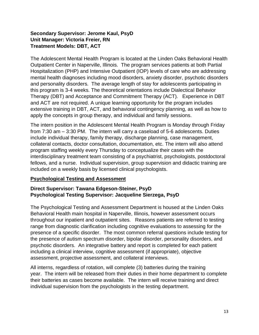#### **Secondary Supervisor: Jerome Kaul, PsyD Unit Manager: Victoria Freier, RN Treatment Models: DBT, ACT**

The Adolescent Mental Health Program is located at the Linden Oaks Behavioral Health Outpatient Center in Naperville, Illinois. The program services patients at both Partial Hospitalization (PHP) and Intensive Outpatient (IOP) levels of care who are addressing mental health diagnoses including mood disorders, anxiety disorder, psychotic disorders and personality disorders. The average length of stay for adolescents participating in this program is 3-4 weeks. The theoretical orientations include Dialectical Behavior Therapy (DBT) and Acceptance and Commitment Therapy (ACT). Experience in DBT and ACT are not required. A unique learning opportunity for the program includes extensive training in DBT, ACT, and behavioral contingency planning, as well as how to apply the concepts in group therapy, and individual and family sessions.

The intern position in the Adolescent Mental Health Program is Monday through Friday from 7:30 am – 3:30 PM. The intern will carry a caseload of 5-6 adolescents. Duties include individual therapy, family therapy, discharge planning, case management, collateral contacts, doctor consultation, documentation, etc. The intern will also attend program staffing weekly every Thursday to conceptualize their cases with the interdisciplinary treatment team consisting of a psychiatrist, psychologists, postdoctoral fellows, and a nurse. Individual supervision, group supervision and didactic training are included on a weekly basis by licensed clinical psychologists.

#### **Psychological Testing and Assessment**

#### **Direct Supervisor: Tawana Edgeson-Steiner, PsyD Psychological Testing Supervisor: Jacqueline Sierzega, PsyD**

The Psychological Testing and Assessment Department is housed at the Linden Oaks Behavioral Health main hospital in Naperville, Illinois, however assessment occurs throughout our inpatient and outpatient sites. Reasons patients are referred to testing range from diagnostic clarification including cognitive evaluations to assessing for the presence of a specific disorder. The most common referral questions include testing for the presence of autism spectrum disorder, bipolar disorder, personality disorders, and psychotic disorders. An integrative battery and report is completed for each patient including a clinical interview, cognitive assessment (if appropriate), objective assessment, projective assessment, and collateral interviews.

All interns, regardless of rotation, will complete (3) batteries during the training year. The intern will be released from their duties in their home department to complete their batteries as cases become available. The intern will receive training and direct individual supervision from the psychologists in the testing department.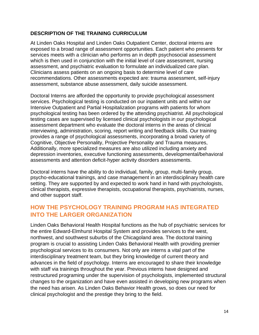#### **DESCRIPTION OF THE TRAINING CURRICULUM**

At Linden Oaks Hospital and Linden Oaks Outpatient Center, doctoral interns are exposed to a broad range of assessment opportunities. Each patient who presents for services meets with a clinician who performs an in depth psychosocial assessment which is then used in conjunction with the initial level of care assessment, nursing assessment, and psychiatric evaluation to formulate an individualized care plan. Clinicians assess patients on an ongoing basis to determine level of care recommendations. Other assessments expected are: trauma assessment, self-injury assessment, substance abuse assessment, daily suicide assessment.

Doctoral Interns are afforded the opportunity to provide psychological assessment services. Psychological testing is conducted on our inpatient units and within our Intensive Outpatient and Partial Hospitalization programs with patients for whom psychological testing has been ordered by the attending psychiatrist. All psychological testing cases are supervised by licensed clinical psychologists in our psychological assessment department who evaluate the doctoral interns in the areas of clinical interviewing, administration, scoring, report writing and feedback skills. Our training provides a range of psychological assessments, incorporating a broad variety of Cognitive, Objective Personality, Projective Personality and Trauma measures, Additionally, more specialized measures are also utilized including anxiety and depression inventories, executive functioning assessments, developmental/behavioral assessments and attention deficit-hyper activity disorders assessments.

Doctoral interns have the ability to do individual, family, group, multi-family group, psycho-educational trainings, and case management in an interdisciplinary health care setting. They are supported by and expected to work hand in hand with psychologists, clinical therapists, expressive therapists, occupational therapists, psychiatrists, nurses, and other support staff.

# **HOW THE PSYCHOLOGY TRAINING PROGRAM HAS INTEGRATED INTO THE LARGER ORGANIZATION**

Linden Oaks Behavioral Health Hospital functions as the hub of psychiatric services for the entire Edward-Elmhurst Hospital System and provides services to the west, northwest, and southwest suburbs of the Chicagoland area. The doctoral training program is crucial to assisting Linden Oaks Behavioral Health with providing premier psychological services to its consumers. Not only are interns a vital part of the interdisciplinary treatment team, but they bring knowledge of current theory and advances in the field of psychology. Interns are encouraged to share their knowledge with staff via trainings throughout the year. Previous interns have designed and restructured programing under the supervision of psychologists, implemented structural changes to the organization and have even assisted in developing new programs when the need has arisen. As Linden Oaks Behavior Health grows, so does our need for clinical psychologist and the prestige they bring to the field.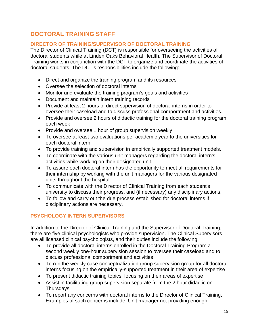# **DOCTORAL TRAINING STAFF**

#### **DIRECTOR OF TRAINING/SUPERVISOR OF DOCTORAL TRAINING**

The Director of Clinical Training (DCT) is responsible for overseeing the activities of doctoral students while at Linden Oaks Behavioral Health. The Supervisor of Doctoral Training works in conjunction with the DCT to organize and coordinate the activities of doctoral students. The DCT's responsibilities include the following:

- Direct and organize the training program and its resources
- Oversee the selection of doctoral interns
- Monitor and evaluate the training program's goals and activities
- Document and maintain intern training records
- Provide at least 2 hours of direct supervision of doctoral interns in order to oversee their caseload and to discuss professional comportment and activities.
- Provide and oversee 2 hours of didactic training for the doctoral training program each week
- Provide and oversee 1 hour of group supervision weekly
- To oversee at least two evaluations per academic year to the universities for each doctoral intern.
- To provide training and supervision in empirically supported treatment models.
- To coordinate with the various unit managers regarding the doctoral intern's activities while working on their designated unit.
- To assure each doctoral intern has the opportunity to meet all requirements for their internship by working with the unit managers for the various designated units throughout the hospital.
- To communicate with the Director of Clinical Training from each student's university to discuss their progress, and (if necessary) any disciplinary actions.
- To follow and carry out the due process established for doctoral interns if disciplinary actions are necessary.

### **PSYCHOLOGY INTERN SUPERVISORS**

In addition to the Director of Clinical Training and the Supervisor of Doctoral Training, there are five clinical psychologists who provide supervision. The Clinical Supervisors are all licensed clinical psychologists, and their duties include the following:

- To provide all doctoral interns enrolled in the Doctoral Training Program a second weekly one-hour supervision session to oversee their caseload and to discuss professional comportment and activities
- To run the weekly case conceptualization group supervision group for all doctoral interns focusing on the empirically-supported treatment in their area of expertise
- To present didactic training topics, focusing on their areas of expertise
- Assist in facilitating group supervision separate from the 2 hour didactic on Thursdays
- To report any concerns with doctoral interns to the Director of Clinical Training. Examples of such concerns include: Unit manager not providing enough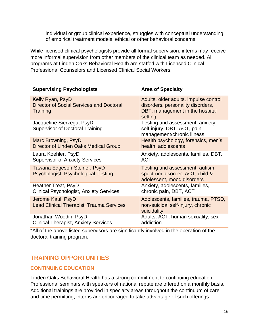individual or group clinical experience, struggles with conceptual understanding of empirical treatment models, ethical or other behavioral concerns.

While licensed clinical psychologists provide all formal supervision, interns may receive more informal supervision from other members of the clinical team as needed. All programs at Linden Oaks Behavioral Health are staffed with Licensed Clinical Professional Counselors and Licensed Clinical Social Workers.

| <b>Supervising Psychologists</b>                                                | <b>Area of Specialty</b>                                                                                                 |
|---------------------------------------------------------------------------------|--------------------------------------------------------------------------------------------------------------------------|
| Kelly Ryan, PsyD<br><b>Director of Social Services and Doctoral</b><br>Training | Adults, older adults, impulse control<br>disorders, personality disorders,<br>DBT, management in the hospital<br>setting |
| Jacqueline Sierzega, PsyD<br><b>Supervisor of Doctoral Training</b>             | Testing and assessment, anxiety,<br>self-injury, DBT, ACT, pain<br>management/chronic illness                            |
| Marc Browning, PsyD<br>Director of Linden Oaks Medical Group                    | Health psychology, forensics, men's<br>health, adolescents                                                               |
| Laura Koehler, PsyD<br><b>Supervisor of Anxiety Services</b>                    | Anxiety, adolescents, families, DBT,<br><b>ACT</b>                                                                       |
| Tawana Edgeson-Steiner, PsyD<br>Psychologist, Psychological Testing             | Testing and assessment, autism<br>spectrum disorder, ACT, child &<br>adolescent, mood disorders                          |
| Heather Treat, PsyD<br><b>Clinical Psychologist, Anxiety Services</b>           | Anxiety, adolescents, families,<br>chronic pain, DBT, ACT                                                                |
| Jerome Kaul, PsyD<br><b>Lead Clinical Therapist, Trauma Services</b>            | Adolescents, families, trauma, PTSD,<br>non-suicidal self-injury, chronic<br>suicidality                                 |
| Jonathan Woodin, PsyD<br><b>Clinical Therapist, Anxiety Services</b>            | Adults, ACT, human sexuality, sex<br>addiction                                                                           |

\*All of the above listed supervisors are significantly involved in the operation of the doctoral training program.

# **TRAINING OPPORTUNITIES**

#### **CONTINUING EDUCATION**

Linden Oaks Behavioral Health has a strong commitment to continuing education. Professional seminars with speakers of national repute are offered on a monthly basis. Additional trainings are provided in specialty areas throughout the continuum of care and time permitting, interns are encouraged to take advantage of such offerings.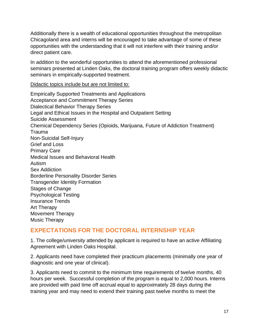Additionally there is a wealth of educational opportunities throughout the metropolitan Chicagoland area and interns will be encouraged to take advantage of some of these opportunities with the understanding that it will not interfere with their training and/or direct patient care.

In addition to the wonderful opportunities to attend the aforementioned professional seminars presented at Linden Oaks, the doctoral training program offers weekly didactic seminars in empirically-supported treatment.

#### Didactic topics include but are not limited to:

Empirically Supported Treatments and Applications Acceptance and Commitment Therapy Series Dialectical Behavior Therapy Series Legal and Ethical Issues in the Hospital and Outpatient Setting Suicide Assessment Chemical Dependency Series (Opioids, Marijuana, Future of Addiction Treatment) Trauma Non-Suicidal Self-Injury Grief and Loss Primary Care Medical Issues and Behavioral Health Autism Sex Addiction Borderline Personality Disorder Series Transgender Identity Formation Stages of Change Psychological Testing Insurance Trends Art Therapy Movement Therapy Music Therapy

### **EXPECTATIONS FOR THE DOCTORAL INTERNSHIP YEAR**

1. The college/university attended by applicant is required to have an active Affiliating Agreement with Linden Oaks Hospital.

2. Applicants need have completed their practicum placements (minimally one year of diagnostic and one year of clinical).

3. Applicants need to commit to the minimum time requirements of twelve months, 40 hours per week. Successful completion of the program is equal to 2,000 hours. Interns are provided with paid time off accrual equal to approximately 28 days during the training year and may need to extend their training past twelve months to meet the